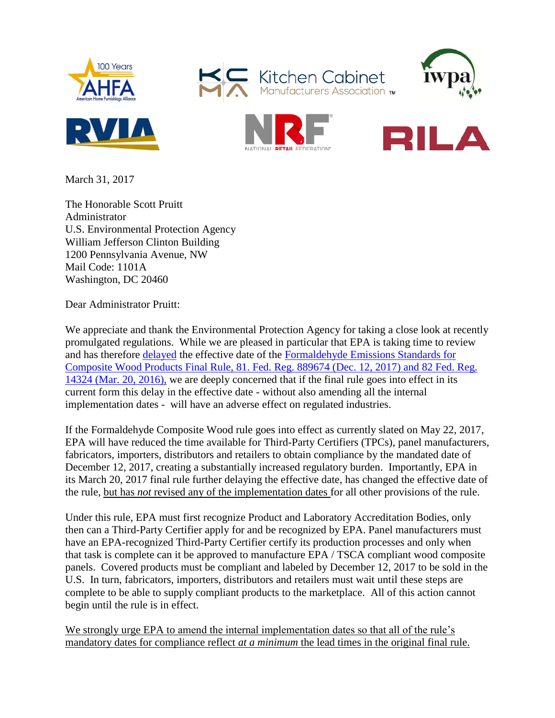

Kitchen Cabinet







March 31, 2017

The Honorable Scott Pruitt Administrator U.S. Environmental Protection Agency William Jefferson Clinton Building 1200 Pennsylvania Avenue, NW Mail Code: 1101A Washington, DC 20460

Dear Administrator Pruitt:

We appreciate and thank the Environmental Protection Agency for taking a close look at recently promulgated regulations. While we are pleased in particular that EPA is taking time to review and has therefore [delayed](https://www.gpo.gov/fdsys/pkg/FR-2017-03-20/pdf/2017-05462.pdf) the effective date of the [Formaldehyde Emissions Standards for](mailto:https://www.regulations.gov/document?D=EPA-HQ-OPPT-2016-0461-0001)  [Composite Wood Products Final Rule, 81. Fed. Reg. 889674 \(Dec. 12, 2017\)](mailto:https://www.regulations.gov/document?D=EPA-HQ-OPPT-2016-0461-0001) and 82 Fed. Reg. 14324 (Mar. 20, 2016), we are deeply concerned that if the final rule goes into effect in its current form this delay in the effective date - without also amending all the internal implementation dates - will have an adverse effect on regulated industries.

If the Formaldehyde Composite Wood rule goes into effect as currently slated on May 22, 2017, EPA will have reduced the time available for Third-Party Certifiers (TPCs), panel manufacturers, fabricators, importers, distributors and retailers to obtain compliance by the mandated date of December 12, 2017, creating a substantially increased regulatory burden. Importantly, EPA in its March 20, 2017 final rule further delaying the effective date, has changed the effective date of the rule, but has *not* revised any of the implementation dates for all other provisions of the rule.

Under this rule, EPA must first recognize Product and Laboratory Accreditation Bodies, only then can a Third-Party Certifier apply for and be recognized by EPA. Panel manufacturers must have an EPA-recognized Third-Party Certifier certify its production processes and only when that task is complete can it be approved to manufacture EPA / TSCA compliant wood composite panels. Covered products must be compliant and labeled by December 12, 2017 to be sold in the U.S. In turn, fabricators, importers, distributors and retailers must wait until these steps are complete to be able to supply compliant products to the marketplace. All of this action cannot begin until the rule is in effect.

We strongly urge EPA to amend the internal implementation dates so that all of the rule's mandatory dates for compliance reflect *at a minimum* the lead times in the original final rule.